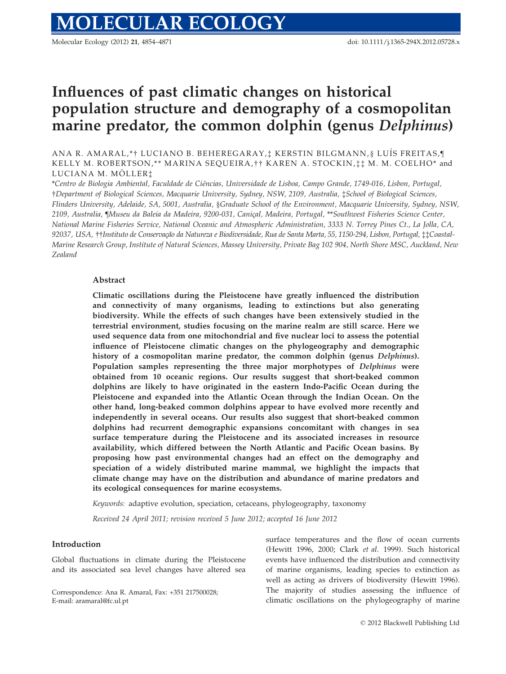Molecular Ecology (2012) 21, 4854–4871 doi: 10.1111/j.1365-294X.2012.05728.x

# Influences of past climatic changes on historical population structure and demography of a cosmopolitan marine predator, the common dolphin (genus Delphinus)

ANA R. AMARAL,\*† LUCIANO B. BEHEREGARAY,‡ KERSTIN BILGMANN,§ LUÍS FREITAS,¶ KELLY M. ROBERTSON,\*\* MARINA SEQUEIRA, ++ KAREN A. STOCKIN,  $\ddagger$  # M. M. COELHO\* and LUCIANA M. MÖLLER<sup>†</sup>

\*Centro de Biologia Ambiental, Faculdade de Ciências, Universidade de Lisboa, Campo Grande, 1749-016, Lisbon, Portugal, †Department of Biological Sciences, Macquarie University, Sydney, NSW, 2109, Australia, ‡School of Biological Sciences, Flinders University, Adelaide, SA, 5001, Australia, §Graduate School of the Environment, Macquarie University, Sydney, NSW, 2109, Australia, ¶Museu da Baleia da Madeira, 9200-031, Caniçal, Madeira, Portugal, \*\*Southwest Fisheries Science Center, National Marine Fisheries Service, National Oceanic and Atmospheric Administration, 3333 N. Torrey Pines Ct., La Jolla, CA, 92037, USA, ††Instituto de Conservação da Natureza e Biodiversidade, Rua de Santa Marta, 55, 1150-294, Lisbon, Portugal, ‡‡Coastal-Marine Research Group, Institute of Natural Sciences, Massey University, Private Bag 102 904, North Shore MSC, Auckland, New Zealand

## Abstract

Climatic oscillations during the Pleistocene have greatly influenced the distribution and connectivity of many organisms, leading to extinctions but also generating biodiversity. While the effects of such changes have been extensively studied in the terrestrial environment, studies focusing on the marine realm are still scarce. Here we used sequence data from one mitochondrial and five nuclear loci to assess the potential influence of Pleistocene climatic changes on the phylogeography and demographic history of a cosmopolitan marine predator, the common dolphin (genus Delphinus). Population samples representing the three major morphotypes of Delphinus were obtained from 10 oceanic regions. Our results suggest that short-beaked common dolphins are likely to have originated in the eastern Indo-Pacific Ocean during the Pleistocene and expanded into the Atlantic Ocean through the Indian Ocean. On the other hand, long-beaked common dolphins appear to have evolved more recently and independently in several oceans. Our results also suggest that short-beaked common dolphins had recurrent demographic expansions concomitant with changes in sea surface temperature during the Pleistocene and its associated increases in resource availability, which differed between the North Atlantic and Pacific Ocean basins. By proposing how past environmental changes had an effect on the demography and speciation of a widely distributed marine mammal, we highlight the impacts that climate change may have on the distribution and abundance of marine predators and its ecological consequences for marine ecosystems.

Keywords: adaptive evolution, speciation, cetaceans, phylogeography, taxonomy

Received 24 April 2011; revision received 5 June 2012; accepted 16 June 2012

# Introduction

Global fluctuations in climate during the Pleistocene and its associated sea level changes have altered sea

Correspondence: Ana R. Amaral, Fax: +351 217500028; E-mail: aramaral@fc.ul.pt

surface temperatures and the flow of ocean currents (Hewitt 1996, 2000; Clark et al. 1999). Such historical events have influenced the distribution and connectivity of marine organisms, leading species to extinction as well as acting as drivers of biodiversity (Hewitt 1996). The majority of studies assessing the influence of climatic oscillations on the phylogeography of marine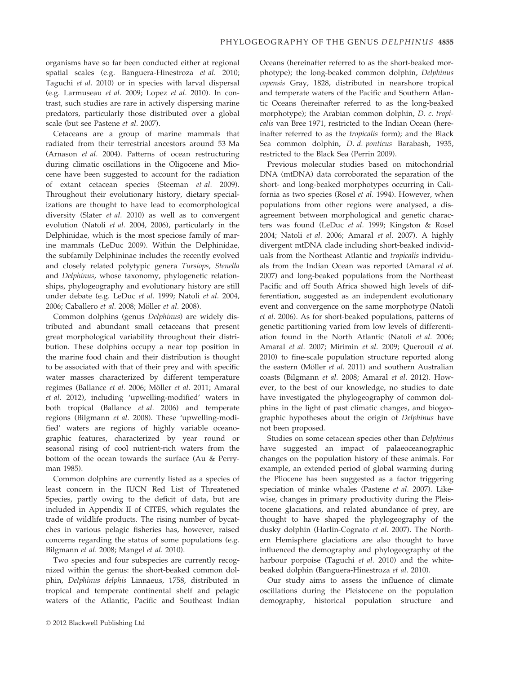organisms have so far been conducted either at regional spatial scales (e.g. Banguera-Hinestroza et al. 2010; Taguchi et al. 2010) or in species with larval dispersal (e.g. Larmuseau et al. 2009; Lopez et al. 2010). In contrast, such studies are rare in actively dispersing marine predators, particularly those distributed over a global scale (but see Pastene et al. 2007).

Cetaceans are a group of marine mammals that radiated from their terrestrial ancestors around 53 Ma (Arnason et al. 2004). Patterns of ocean restructuring during climatic oscillations in the Oligocene and Miocene have been suggested to account for the radiation of extant cetacean species (Steeman et al. 2009). Throughout their evolutionary history, dietary specializations are thought to have lead to ecomorphological diversity (Slater et al. 2010) as well as to convergent evolution (Natoli et al. 2004, 2006), particularly in the Delphinidae, which is the most speciose family of marine mammals (LeDuc 2009). Within the Delphinidae, the subfamily Delphininae includes the recently evolved and closely related polytypic genera Tursiops, Stenella and Delphinus, whose taxonomy, phylogenetic relationships, phylogeography and evolutionary history are still under debate (e.g. LeDuc et al. 1999; Natoli et al. 2004, 2006; Caballero et al. 2008; Möller et al. 2008).

Common dolphins (genus Delphinus) are widely distributed and abundant small cetaceans that present great morphological variability throughout their distribution. These dolphins occupy a near top position in the marine food chain and their distribution is thought to be associated with that of their prey and with specific water masses characterized by different temperature regimes (Ballance et al. 2006; Möller et al. 2011; Amaral et al. 2012), including 'upwelling-modified' waters in both tropical (Ballance et al. 2006) and temperate regions (Bilgmann et al. 2008). These 'upwelling-modified' waters are regions of highly variable oceanographic features, characterized by year round or seasonal rising of cool nutrient-rich waters from the bottom of the ocean towards the surface (Au & Perryman 1985).

Common dolphins are currently listed as a species of least concern in the IUCN Red List of Threatened Species, partly owing to the deficit of data, but are included in Appendix II of CITES, which regulates the trade of wildlife products. The rising number of bycatches in various pelagic fisheries has, however, raised concerns regarding the status of some populations (e.g. Bilgmann et al. 2008; Mangel et al. 2010).

Two species and four subspecies are currently recognized within the genus: the short-beaked common dolphin, Delphinus delphis Linnaeus, 1758, distributed in tropical and temperate continental shelf and pelagic waters of the Atlantic, Pacific and Southeast Indian

Oceans (hereinafter referred to as the short-beaked morphotype); the long-beaked common dolphin, Delphinus capensis Gray, 1828, distributed in nearshore tropical and temperate waters of the Pacific and Southern Atlantic Oceans (hereinafter referred to as the long-beaked morphotype); the Arabian common dolphin, D. c. tropicalis van Bree 1971, restricted to the Indian Ocean (hereinafter referred to as the tropicalis form); and the Black Sea common dolphin, D. d. ponticus Barabash, 1935, restricted to the Black Sea (Perrin 2009).

Previous molecular studies based on mitochondrial DNA (mtDNA) data corroborated the separation of the short- and long-beaked morphotypes occurring in California as two species (Rosel et al. 1994). However, when populations from other regions were analysed, a disagreement between morphological and genetic characters was found (LeDuc et al. 1999; Kingston & Rosel 2004; Natoli et al. 2006; Amaral et al. 2007). A highly divergent mtDNA clade including short-beaked individuals from the Northeast Atlantic and tropicalis individuals from the Indian Ocean was reported (Amaral et al. 2007) and long-beaked populations from the Northeast Pacific and off South Africa showed high levels of differentiation, suggested as an independent evolutionary event and convergence on the same morphotype (Natoli et al. 2006). As for short-beaked populations, patterns of genetic partitioning varied from low levels of differentiation found in the North Atlantic (Natoli et al. 2006; Amaral et al. 2007; Mirimin et al. 2009; Querouil et al. 2010) to fine-scale population structure reported along the eastern (Möller et al. 2011) and southern Australian coasts (Bilgmann et al. 2008; Amaral et al. 2012). However, to the best of our knowledge, no studies to date have investigated the phylogeography of common dolphins in the light of past climatic changes, and biogeographic hypotheses about the origin of Delphinus have not been proposed.

Studies on some cetacean species other than Delphinus have suggested an impact of palaeoceanographic changes on the population history of these animals. For example, an extended period of global warming during the Pliocene has been suggested as a factor triggering speciation of minke whales (Pastene et al. 2007). Likewise, changes in primary productivity during the Pleistocene glaciations, and related abundance of prey, are thought to have shaped the phylogeography of the dusky dolphin (Harlin-Cognato et al. 2007). The Northern Hemisphere glaciations are also thought to have influenced the demography and phylogeography of the harbour porpoise (Taguchi et al. 2010) and the whitebeaked dolphin (Banguera-Hinestroza et al. 2010).

Our study aims to assess the influence of climate oscillations during the Pleistocene on the population demography, historical population structure and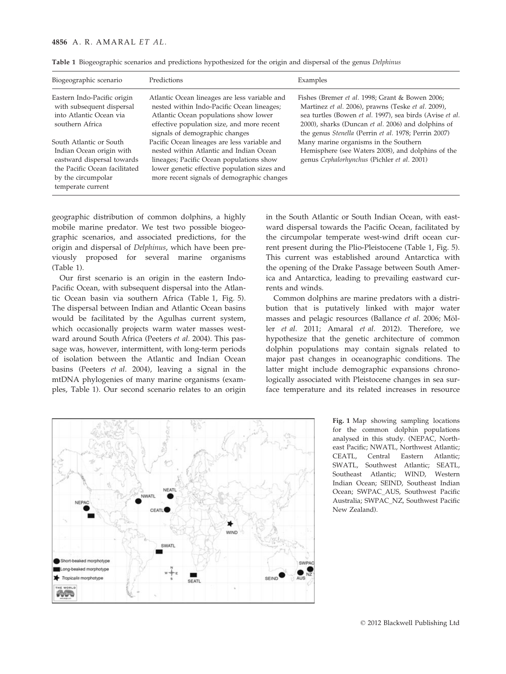| Biogeographic scenario                                                                                                                                        | Predictions                                                                                                                                                                                                                       | Examples                                                                                                                                                                                                                                                                               |
|---------------------------------------------------------------------------------------------------------------------------------------------------------------|-----------------------------------------------------------------------------------------------------------------------------------------------------------------------------------------------------------------------------------|----------------------------------------------------------------------------------------------------------------------------------------------------------------------------------------------------------------------------------------------------------------------------------------|
| Eastern Indo-Pacific origin<br>with subsequent dispersal<br>into Atlantic Ocean via<br>southern Africa                                                        | Atlantic Ocean lineages are less variable and<br>nested within Indo-Pacific Ocean lineages;<br>Atlantic Ocean populations show lower<br>effective population size, and more recent<br>signals of demographic changes              | Fishes (Bremer <i>et al.</i> 1998; Grant & Bowen 2006;<br>Martinez et al. 2006), prawns (Teske et al. 2009),<br>sea turtles (Bowen et al. 1997), sea birds (Avise et al.<br>2000), sharks (Duncan et al. 2006) and dolphins of<br>the genus Stenella (Perrin et al. 1978; Perrin 2007) |
| South Atlantic or South<br>Indian Ocean origin with<br>eastward dispersal towards<br>the Pacific Ocean facilitated<br>by the circumpolar<br>temperate current | Pacific Ocean lineages are less variable and<br>nested within Atlantic and Indian Ocean<br>lineages; Pacific Ocean populations show<br>lower genetic effective population sizes and<br>more recent signals of demographic changes | Many marine organisms in the Southern<br>Hemisphere (see Waters 2008), and dolphins of the<br>genus Cephalorhynchus (Pichler et al. 2001)                                                                                                                                              |

Table 1 Biogeographic scenarios and predictions hypothesized for the origin and dispersal of the genus Delphinus

geographic distribution of common dolphins, a highly mobile marine predator. We test two possible biogeographic scenarios, and associated predictions, for the origin and dispersal of Delphinus, which have been previously proposed for several marine organisms (Table 1).

Our first scenario is an origin in the eastern Indo-Pacific Ocean, with subsequent dispersal into the Atlantic Ocean basin via southern Africa (Table 1, Fig. 5). The dispersal between Indian and Atlantic Ocean basins would be facilitated by the Agulhas current system, which occasionally projects warm water masses westward around South Africa (Peeters et al. 2004). This passage was, however, intermittent, with long-term periods of isolation between the Atlantic and Indian Ocean basins (Peeters et al. 2004), leaving a signal in the mtDNA phylogenies of many marine organisms (examples, Table 1). Our second scenario relates to an origin in the South Atlantic or South Indian Ocean, with eastward dispersal towards the Pacific Ocean, facilitated by the circumpolar temperate west-wind drift ocean current present during the Plio-Pleistocene (Table 1, Fig. 5). This current was established around Antarctica with the opening of the Drake Passage between South America and Antarctica, leading to prevailing eastward currents and winds.

Common dolphins are marine predators with a distribution that is putatively linked with major water masses and pelagic resources (Ballance et al. 2006; Möller et al. 2011; Amaral et al. 2012). Therefore, we hypothesize that the genetic architecture of common dolphin populations may contain signals related to major past changes in oceanographic conditions. The latter might include demographic expansions chronologically associated with Pleistocene changes in sea surface temperature and its related increases in resource



Fig. 1 Map showing sampling locations for the common dolphin populations analysed in this study. (NEPAC, Northeast Pacific; NWATL, Northwest Atlantic; CEATL, Central Eastern Atlantic; SWATL, Southwest Atlantic; SEATL, Southeast Atlantic; WIND, Western Indian Ocean; SEIND, Southeast Indian Ocean; SWPAC\_AUS, Southwest Pacific Australia; SWPAC\_NZ, Southwest Pacific New Zealand).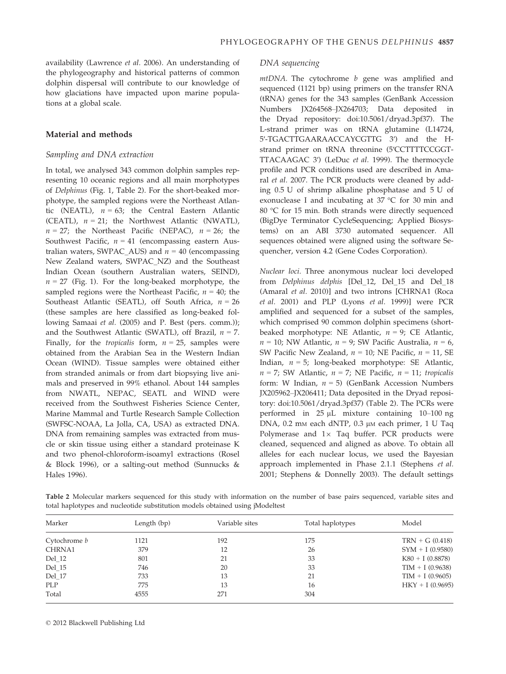availability (Lawrence et al. 2006). An understanding of the phylogeography and historical patterns of common dolphin dispersal will contribute to our knowledge of how glaciations have impacted upon marine populations at a global scale.

## Material and methods

#### Sampling and DNA extraction

In total, we analysed 343 common dolphin samples representing 10 oceanic regions and all main morphotypes of Delphinus (Fig. 1, Table 2). For the short-beaked morphotype, the sampled regions were the Northeast Atlantic (NEATL),  $n = 63$ ; the Central Eastern Atlantic (CEATL),  $n = 21$ ; the Northwest Atlantic (NWATL),  $n = 27$ ; the Northeast Pacific (NEPAC),  $n = 26$ ; the Southwest Pacific,  $n = 41$  (encompassing eastern Australian waters, SWPAC\_AUS) and  $n = 40$  (encompassing New Zealand waters, SWPAC\_NZ) and the Southeast Indian Ocean (southern Australian waters, SEIND),  $n = 27$  (Fig. 1). For the long-beaked morphotype, the sampled regions were the Northeast Pacific,  $n = 40$ ; the Southeast Atlantic (SEATL), off South Africa,  $n = 26$ (these samples are here classified as long-beaked following Samaai et al. (2005) and P. Best (pers. comm.)); and the Southwest Atlantic (SWATL), off Brazil,  $n = 7$ . Finally, for the *tropicalis* form,  $n = 25$ , samples were obtained from the Arabian Sea in the Western Indian Ocean (WIND). Tissue samples were obtained either from stranded animals or from dart biopsying live animals and preserved in 99% ethanol. About 144 samples from NWATL, NEPAC, SEATL and WIND were received from the Southwest Fisheries Science Center, Marine Mammal and Turtle Research Sample Collection (SWFSC-NOAA, La Jolla, CA, USA) as extracted DNA. DNA from remaining samples was extracted from muscle or skin tissue using either a standard proteinase K and two phenol-chloroform-isoamyl extractions (Rosel & Block 1996), or a salting-out method (Sunnucks & Hales 1996).

## DNA sequencing

 $mtDNA$ . The cytochrome  $b$  gene was amplified and sequenced (1121 bp) using primers on the transfer RNA (tRNA) genes for the 343 samples (GenBank Accession Numbers JX264568–JX264703; Data deposited in the Dryad repository: doi:10.5061/dryad.3pf37). The L-strand primer was on tRNA glutamine (L14724, 5′-TGACTTGAARAACCAYCGTTG 3′) and the Hstrand primer on tRNA threonine (5′CCTTTTCCGGT-TTACAAGAC 3′) (LeDuc et al. 1999). The thermocycle profile and PCR conditions used are described in Amaral et al. 2007. The PCR products were cleaned by adding 0.5 U of shrimp alkaline phosphatase and 5 U of exonuclease I and incubating at 37 °C for 30 min and 80 °C for 15 min. Both strands were directly sequenced (BigDye Terminator CycleSequencing; Applied Biosystems) on an ABI 3730 automated sequencer. All sequences obtained were aligned using the software Sequencher, version 4.2 (Gene Codes Corporation).

Nuclear loci. Three anonymous nuclear loci developed from Delphinus delphis [Del\_12, Del\_15 and Del\_18 (Amaral et al. 2010)] and two introns [CHRNA1 (Roca et al. 2001) and PLP (Lyons et al. 1999)] were PCR amplified and sequenced for a subset of the samples, which comprised 90 common dolphin specimens (shortbeaked morphotype: NE Atlantic,  $n = 9$ ; CE Atlantic,  $n = 10$ ; NW Atlantic,  $n = 9$ ; SW Pacific Australia,  $n = 6$ , SW Pacific New Zealand,  $n = 10$ ; NE Pacific,  $n = 11$ , SE Indian,  $n = 5$ ; long-beaked morphotype: SE Atlantic,  $n = 7$ ; SW Atlantic,  $n = 7$ ; NE Pacific,  $n = 11$ ; tropicalis form: W Indian,  $n = 5$ ) (GenBank Accession Numbers JX205962–JX206411; Data deposited in the Dryad repository: doi:10.5061/dryad.3pf37) (Table 2). The PCRs were performed in  $25 \mu L$  mixture containing  $10-100$  ng DNA, 0.2 mm each dNTP, 0.3 µm each primer, 1 U Taq Polymerase and  $1 \times$  Taq buffer. PCR products were cleaned, sequenced and aligned as above. To obtain all alleles for each nuclear locus, we used the Bayesian approach implemented in Phase 2.1.1 (Stephens et al. 2001; Stephens & Donnelly 2003). The default settings

Table 2 Molecular markers sequenced for this study with information on the number of base pairs sequenced, variable sites and total haplotypes and nucleotide substitution models obtained using jModeltest

| Marker       | Length (bp) | Variable sites | Total haplotypes | Model              |
|--------------|-------------|----------------|------------------|--------------------|
| Cytochrome b | 1121        | 192            | 175              | $TRN + G (0.418)$  |
| CHRNA1       | 379         | 12             | 26               | $SYM + I (0.9580)$ |
| Del 12       | 801         | 21             | 33               | $K80 + I (0.8878)$ |
| $Del_15$     | 746         | 20             | 33               | $TIM + I (0.9638)$ |
| Del 17       | 733         | 13             | 21               | $TIM + I (0.9605)$ |
| PLP          | 775         | 13             | 16               | $HKY + I (0.9695)$ |
| Total        | 4555        | 271            | 304              |                    |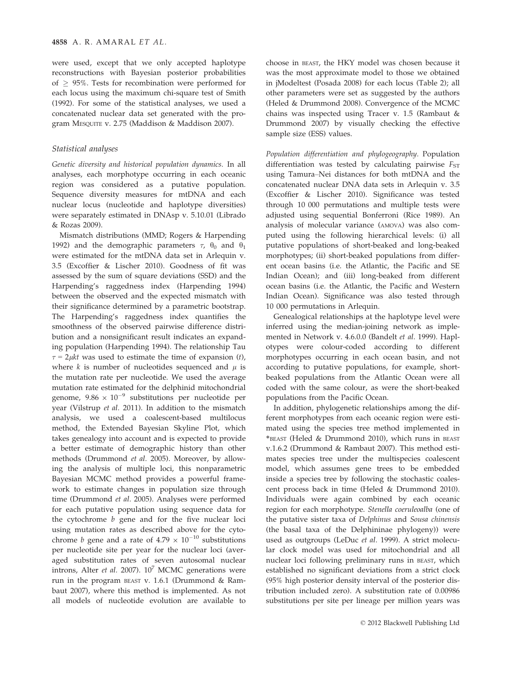were used, except that we only accepted haplotype reconstructions with Bayesian posterior probabilities of  $> 95\%$ . Tests for recombination were performed for each locus using the maximum chi-square test of Smith (1992). For some of the statistical analyses, we used a concatenated nuclear data set generated with the program MESQUITE v. 2.75 (Maddison & Maddison 2007).

## Statistical analyses

Genetic diversity and historical population dynamics. In all analyses, each morphotype occurring in each oceanic region was considered as a putative population. Sequence diversity measures for mtDNA and each nuclear locus (nucleotide and haplotype diversities) were separately estimated in DNAsp v. 5.10.01 (Librado & Rozas 2009).

Mismatch distributions (MMD; Rogers & Harpending 1992) and the demographic parameters  $τ$ ,  $θ$ <sub>0</sub> and  $θ$ <sub>1</sub> were estimated for the mtDNA data set in Arlequin v. 3.5 (Excoffier & Lischer 2010). Goodness of fit was assessed by the sum of square deviations (SSD) and the Harpending's raggedness index (Harpending 1994) between the observed and the expected mismatch with their significance determined by a parametric bootstrap. The Harpending's raggedness index quantifies the smoothness of the observed pairwise difference distribution and a nonsignificant result indicates an expanding population (Harpending 1994). The relationship Tau  $\tau = 2\mu k t$  was used to estimate the time of expansion (*t*), where k is number of nucleotides sequenced and  $\mu$  is the mutation rate per nucleotide. We used the average mutation rate estimated for the delphinid mitochondrial genome,  $9.86 \times 10^{-9}$  substitutions per nucleotide per year (Vilstrup et al. 2011). In addition to the mismatch analysis, we used a coalescent-based multilocus method, the Extended Bayesian Skyline Plot, which takes genealogy into account and is expected to provide a better estimate of demographic history than other methods (Drummond et al. 2005). Moreover, by allowing the analysis of multiple loci, this nonparametric Bayesian MCMC method provides a powerful framework to estimate changes in population size through time (Drummond et al. 2005). Analyses were performed for each putative population using sequence data for the cytochrome b gene and for the five nuclear loci using mutation rates as described above for the cytochrome *b* gene and a rate of  $4.79 \times 10^{-10}$  substitutions per nucleotide site per year for the nuclear loci (averaged substitution rates of seven autosomal nuclear introns, Alter *et al.* 2007).  $10^7$  MCMC generations were run in the program BEAST v. 1.6.1 (Drummond & Rambaut 2007), where this method is implemented. As not all models of nucleotide evolution are available to

choose in BEAST, the HKY model was chosen because it was the most approximate model to those we obtained in jModeltest (Posada 2008) for each locus (Table 2); all other parameters were set as suggested by the authors (Heled & Drummond 2008). Convergence of the MCMC chains was inspected using Tracer v. 1.5 (Rambaut & Drummond 2007) by visually checking the effective sample size (ESS) values.

Population differentiation and phylogeography. Population differentiation was tested by calculating pairwise  $F_{ST}$ using Tamura–Nei distances for both mtDNA and the concatenated nuclear DNA data sets in Arlequin v. 3.5 (Excoffier & Lischer 2010). Significance was tested through 10 000 permutations and multiple tests were adjusted using sequential Bonferroni (Rice 1989). An analysis of molecular variance (AMOVA) was also computed using the following hierarchical levels: (i) all putative populations of short-beaked and long-beaked morphotypes; (ii) short-beaked populations from different ocean basins (i.e. the Atlantic, the Pacific and SE Indian Ocean); and (iii) long-beaked from different ocean basins (i.e. the Atlantic, the Pacific and Western Indian Ocean). Significance was also tested through 10 000 permutations in Arlequin.

Genealogical relationships at the haplotype level were inferred using the median-joining network as implemented in Network v. 4.6.0.0 (Bandelt et al. 1999). Haplotypes were colour-coded according to different morphotypes occurring in each ocean basin, and not according to putative populations, for example, shortbeaked populations from the Atlantic Ocean were all coded with the same colour, as were the short-beaked populations from the Pacific Ocean.

In addition, phylogenetic relationships among the different morphotypes from each oceanic region were estimated using the species tree method implemented in \*BEAST (Heled & Drummond 2010), which runs in BEAST v.1.6.2 (Drummond & Rambaut 2007). This method estimates species tree under the multispecies coalescent model, which assumes gene trees to be embedded inside a species tree by following the stochastic coalescent process back in time (Heled & Drummond 2010). Individuals were again combined by each oceanic region for each morphotype. Stenella coeruleoalba (one of the putative sister taxa of Delphinus and Sousa chinensis (the basal taxa of the Delphininae phylogeny)) were used as outgroups (LeDuc et al. 1999). A strict molecular clock model was used for mitochondrial and all nuclear loci following preliminary runs in BEAST, which established no significant deviations from a strict clock (95% high posterior density interval of the posterior distribution included zero). A substitution rate of 0.00986 substitutions per site per lineage per million years was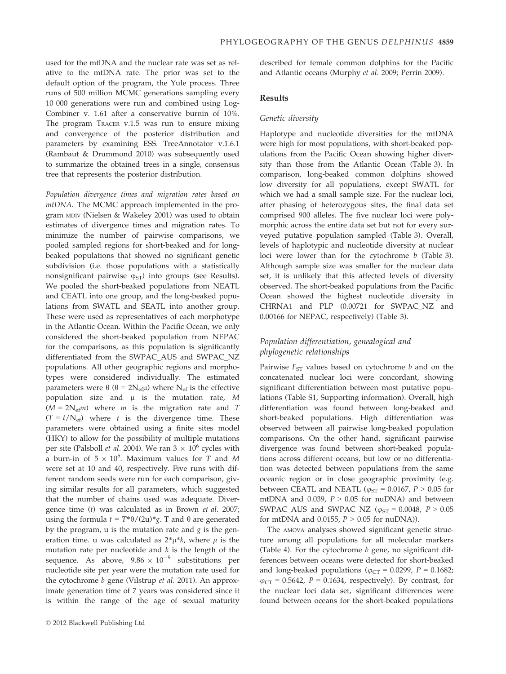used for the mtDNA and the nuclear rate was set as relative to the mtDNA rate. The prior was set to the default option of the program, the Yule process. Three runs of 500 million MCMC generations sampling every 10 000 generations were run and combined using Log-Combiner v. 1.61 after a conservative burnin of 10%. The program TRACER v.1.5 was run to ensure mixing and convergence of the posterior distribution and parameters by examining ESS. TreeAnnotator v.1.6.1 (Rambaut & Drummond 2010) was subsequently used to summarize the obtained trees in a single, consensus tree that represents the posterior distribution.

Population divergence times and migration rates based on mtDNA. The MCMC approach implemented in the program MDIV (Nielsen & Wakeley 2001) was used to obtain estimates of divergence times and migration rates. To minimize the number of pairwise comparisons, we pooled sampled regions for short-beaked and for longbeaked populations that showed no significant genetic subdivision (i.e. those populations with a statistically nonsignificant pairwise  $\varphi_{ST}$ ) into groups (see Results). We pooled the short-beaked populations from NEATL and CEATL into one group, and the long-beaked populations from SWATL and SEATL into another group. These were used as representatives of each morphotype in the Atlantic Ocean. Within the Pacific Ocean, we only considered the short-beaked population from NEPAC for the comparisons, as this population is significantly differentiated from the SWPAC\_AUS and SWPAC\_NZ populations. All other geographic regions and morphotypes were considered individually. The estimated parameters were  $\theta$  ( $\theta = 2N_{\text{eff}}\mu$ ) where  $N_{\text{ef}}$  is the effective population size and  $\mu$  is the mutation rate, M  $(M = 2N_{\text{eff}}m)$  where *m* is the migration rate and *T*  $(T = t/N_{\text{ef}})$  where t is the divergence time. These parameters were obtained using a finite sites model (HKY) to allow for the possibility of multiple mutations per site (Palsboll *et al.* 2004). We ran  $3 \times 10^6$  cycles with a burn-in of  $5 \times 10^5$ . Maximum values for T and M were set at 10 and 40, respectively. Five runs with different random seeds were run for each comparison, giving similar results for all parameters, which suggested that the number of chains used was adequate. Divergence time (t) was calculated as in Brown et al. 2007; using the formula  $t = T^*\theta/(2u)^*g$ . T and  $\theta$  are generated by the program, u is the mutation rate and  $g$  is the generation time. u was calculated as  $2*\mu*k$ , where  $\mu$  is the mutation rate per nucleotide and  $k$  is the length of the sequence. As above,  $9.86 \times 10^{-9}$  substitutions per nucleotide site per year were the mutation rate used for the cytochrome b gene (Vilstrup et al. 2011). An approximate generation time of 7 years was considered since it is within the range of the age of sexual maturity

described for female common dolphins for the Pacific and Atlantic oceans (Murphy et al. 2009; Perrin 2009).

## Results

## Genetic diversity

Haplotype and nucleotide diversities for the mtDNA were high for most populations, with short-beaked populations from the Pacific Ocean showing higher diversity than those from the Atlantic Ocean (Table 3). In comparison, long-beaked common dolphins showed low diversity for all populations, except SWATL for which we had a small sample size. For the nuclear loci, after phasing of heterozygous sites, the final data set comprised 900 alleles. The five nuclear loci were polymorphic across the entire data set but not for every surveyed putative population sampled (Table 3). Overall, levels of haplotypic and nucleotide diversity at nuclear loci were lower than for the cytochrome b (Table 3). Although sample size was smaller for the nuclear data set, it is unlikely that this affected levels of diversity observed. The short-beaked populations from the Pacific Ocean showed the highest nucleotide diversity in CHRNA1 and PLP (0.00721 for SWPAC\_NZ and 0.00166 for NEPAC, respectively) (Table 3).

# Population differentiation, genealogical and phylogenetic relationships

Pairwise  $F_{ST}$  values based on cytochrome  $b$  and on the concatenated nuclear loci were concordant, showing significant differentiation between most putative populations (Table S1, Supporting information). Overall, high differentiation was found between long-beaked and short-beaked populations. High differentiation was observed between all pairwise long-beaked population comparisons. On the other hand, significant pairwise divergence was found between short-beaked populations across different oceans, but low or no differentiation was detected between populations from the same oceanic region or in close geographic proximity (e.g. between CEATL and NEATL ( $\varphi_{ST}$  = 0.0167, P > 0.05 for mtDNA and 0.039,  $P > 0.05$  for nuDNA) and between SWPAC\_AUS and SWPAC\_NZ ( $\varphi_{ST} = 0.0048$ ,  $P > 0.05$ ) for mtDNA and 0.0155,  $P > 0.05$  for nuDNA)).

The AMOVA analyses showed significant genetic structure among all populations for all molecular markers (Table 4). For the cytochrome  $b$  gene, no significant differences between oceans were detected for short-beaked and long-beaked populations ( $\varphi_{CT} = 0.0299$ ,  $P = 0.1682$ ;  $\varphi_{CT} = 0.5642$ ,  $P = 0.1634$ , respectively). By contrast, for the nuclear loci data set, significant differences were found between oceans for the short-beaked populations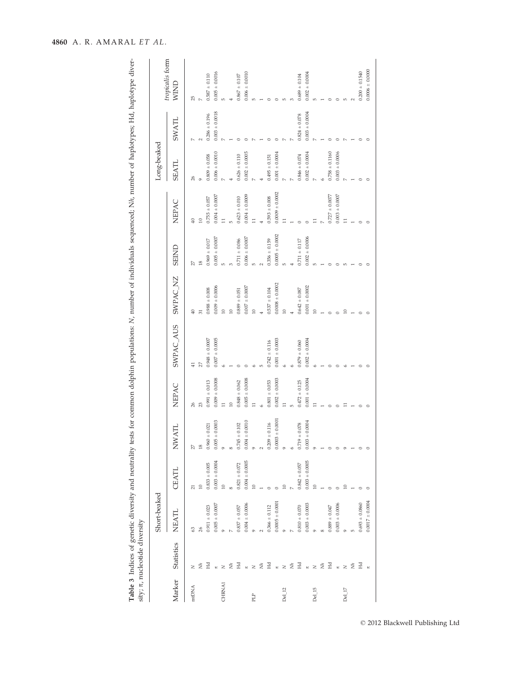|               | sity; $\pi$ , nucleotide diversity                                                 |                     |                    |                     |                   |                    |                     |                    |                     |                     |                   |                     |
|---------------|------------------------------------------------------------------------------------|---------------------|--------------------|---------------------|-------------------|--------------------|---------------------|--------------------|---------------------|---------------------|-------------------|---------------------|
|               |                                                                                    | Short-beaked        |                    |                     |                   |                    |                     |                    |                     | Long-beaked         |                   | tropicalis form     |
| Marker        | <b>Statistics</b>                                                                  | NEATL               | <b>CEATL</b>       | <b>ATL</b><br>NN)   | NEPAC             | SWPAC AUS SWPAC NZ |                     | <b>GEIND</b>       | NEPAC               | <b>SEATL</b>        | SWATL             | WIND                |
| mtDNA         | $\geq$                                                                             | S                   | $\overline{c}$     |                     | 26                | $\overline{+}$     | $\overline{40}$     | 27                 | $\mathbb{Q}$        | $^{26}$             | N                 | 25                  |
|               | $\bar{\gtrsim}$                                                                    | 26                  | $\equiv$           | $^{18}$             | S                 | 27                 | $\overline{31}$     | $\overline{18}$    | $\approx$           | $\circ$             |                   |                     |
|               | Hd                                                                                 | $0.911 \pm 0.023$   | $0.833 \pm 0.005$  | $0.960 \pm 0.021$   | $0.991 \pm 0.013$ | $0.948 \pm 0.0007$ | $0.988 \pm 0.008$   | $0.969 \pm 0.017$  | $0.755\,\pm\,0.057$ | $0.809\,\pm\,0.058$ | $0.286 \pm 0.196$ | $0.587\pm0.110$     |
|               |                                                                                    | $0.005 \pm 0.0007$  | $0.003 + 0.0004$   | $0.005 + 0.0003$    | $0.009 + 0.0008$  | $0.007 + 0.0005$   | $0.009 \pm 0.0006$  | $0.005 \pm 0.0007$ | $0.004 + 0.0007$    | $0.006 \pm 0.0010$  | $0.003 + 0.0018$  | $0.005 \pm 0.0016$  |
| <b>CHRNA1</b> | $_{\textrm{\tiny{E}}}$ $\,>\,$ $\stackrel{\textrm{\tiny{E}}}{\sim}$                |                     | $\square$          |                     | $\equiv$          |                    | $\approx$           | $\overline{10}$    | $\equiv$            |                     |                   |                     |
|               |                                                                                    |                     | $\infty$           |                     | $\approx$         |                    | $\overline{10}$     | $\infty$           | LŊ                  |                     |                   |                     |
|               | $\mathbb{H}$                                                                       | $0.837 \pm 0.057$   | $0.821 \pm 0.072$  | $0.745 \pm 0.102$   | $0.848 \pm 0.062$ |                    | $0.889 \pm 0.051$   | $0.711 \pm 0.086$  | $0.623 \pm 0.010$   | $0.626\,\pm0.110$   |                   | $0.867\pm0.107$     |
|               |                                                                                    | $0.004 + 0.0006$    | $0.004 \pm 0.0005$ | $0.004 + 0.0010$    | $0.005 + 0.0008$  |                    | $0.007 + 0.0007$    | $0.006 \pm 0.0007$ | $0.004 + 0.0009$    | $0.002 + 0.0005$    |                   | $0.006 \pm 0.0010$  |
| PLP           | $E \times \overline{\Sigma} \times E \times E \times E \times E \times E \times E$ |                     | $\approx$          |                     | $\equiv$          |                    | $\approx$           | LO <sub>1</sub>    | $\equiv$            |                     |                   | LO <sub>1</sub>     |
|               |                                                                                    |                     |                    |                     | Ġ                 | LO <sub>1</sub>    |                     | $\sim$             |                     |                     |                   |                     |
|               |                                                                                    | $0.366 \pm 0.112$   |                    | $0.209 \pm 0.116$   | $0.801 \pm 0.053$ | $0.742 \pm 0.116$  | $0.537 \pm 0.104$   | $0.356 \pm 0.159$  | $0.593 \pm 0.008$   | $0.495 \pm 0.151$   |                   |                     |
|               |                                                                                    | $0.0005 \pm 0.000$  |                    | $0.0003 \pm 0.0001$ | $0.002 + 0.0003$  | $0.001 + 0.0003$   | $0.0008 \pm 0.0002$ | $0.0005 + 0.0002$  | $0.0009 \pm 0.0002$ | $0.001 + 0.0004$    |                   |                     |
| Del_12        |                                                                                    |                     | $\approx$          | $\circ$             | $\equiv$          | Ó                  | $\overline{10}$     | LO <sub>1</sub>    |                     |                     |                   | LO <sub>1</sub>     |
|               |                                                                                    |                     |                    |                     | $\overline{5}$    | Ġ                  |                     |                    |                     |                     |                   | 3                   |
|               |                                                                                    | $0.810 + 0.070$     | $0.842 \pm 0.057$  | $0.719 \pm 0.078$   | $0.472 \pm 0.125$ | $0.879 \pm 0.060$  | $0.642\pm0.087$     | $0.711 \pm 0.117$  |                     | $0.846\,\pm\,0.074$ | $0.824 \pm 0.078$ | $0.689 \pm 0.104$   |
|               |                                                                                    | $0.003 + 0.0003$    | $0.003 + 0.0005$   | $0.003 + 0.0004$    | $0.001 + 0.0004$  | $0.002 + 0.0004$   | $0.001 + 0.0002$    | $0.002 + 0.0006$   |                     | $0.002 + 0.0004$    | $0.003 + 0.0004$  | $0.002 + 0.0004$    |
| Del_15        |                                                                                    |                     | $\square$          |                     | Ξ                 |                    | $\approx$           | LC)                |                     |                     |                   |                     |
|               |                                                                                    |                     |                    |                     |                   |                    |                     |                    |                     |                     |                   |                     |
|               |                                                                                    | $0.889 + 0.047$     |                    |                     |                   |                    |                     |                    | $0.727 \pm 0.0077$  | $0.758 \pm 0.1160$  |                   |                     |
|               |                                                                                    | $0.003 + 0.0006$    |                    |                     |                   |                    |                     |                    | $0.003 + 0.0007$    | $0.003 + 0.0006$    |                   | $\circ$             |
| Del_17        |                                                                                    |                     |                    |                     |                   |                    | $\overline{10}$     |                    |                     |                     |                   | LO <sub>1</sub>     |
|               |                                                                                    |                     |                    |                     |                   |                    |                     |                    |                     |                     |                   |                     |
|               | Hd                                                                                 | $0.693 + 0.0860$    |                    |                     |                   |                    |                     |                    |                     |                     |                   | $0.200 + 0.1540$    |
|               | $\approx$                                                                          | $0.0017 \pm 0.0004$ |                    |                     |                   |                    |                     |                    |                     |                     |                   | $0.0006 \pm 0.0000$ |

Table 3 Indices of genetic diversity and neutrality tests for common dolphin populations: N, number of individuals sequenced; Nh, number of haplotypes; Hd, haplotype diver-Table 3 Indices of genetic diversity and neutrality tests for common dolphin populations: N, number of individuals sequenced; Nh, number of haplotypes; Hd, haplotype diver-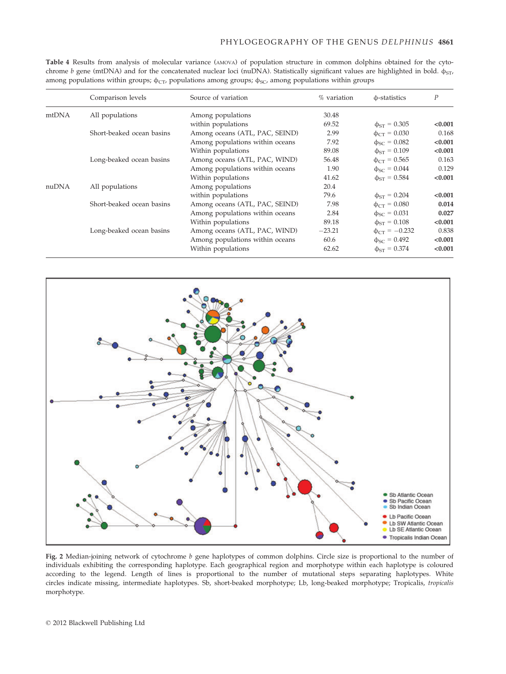| <b>Table 4</b> Results from analysis of molecular variance (AMOVA) of population structure in common dolphins obtained for the cyto-       |
|--------------------------------------------------------------------------------------------------------------------------------------------|
| chrome b gene (mtDNA) and for the concatenated nuclear loci (nuDNA). Statistically significant values are highlighted in bold. $\phi_{ST}$ |
| among populations within groups; $\phi_{CT}$ , populations among groups; $\phi_{SC}$ , among populations within groups                     |

|       | Comparison levels         | Source of variation             | % variation | φ-statistics         | $\boldsymbol{P}$ |
|-------|---------------------------|---------------------------------|-------------|----------------------|------------------|
| mtDNA | All populations           | Among populations               | 30.48       |                      |                  |
|       |                           | within populations              | 69.52       | $\phi_{ST} = 0.305$  | < 0.001          |
|       | Short-beaked ocean basins | Among oceans (ATL, PAC, SEIND)  | 2.99        | $\phi_{CT} = 0.030$  | 0.168            |
|       |                           | Among populations within oceans | 7.92        | $\phi_{SC} = 0.082$  | < 0.001          |
|       |                           | Within populations              | 89.08       | $\phi_{ST} = 0.109$  | < 0.001          |
|       | Long-beaked ocean basins  | Among oceans (ATL, PAC, WIND)   | 56.48       | $\phi_{CT} = 0.565$  | 0.163            |
|       |                           | Among populations within oceans | 1.90        | $\phi_{SC} = 0.044$  | 0.129            |
|       |                           | Within populations              | 41.62       | $\phi_{ST} = 0.584$  | < 0.001          |
| nuDNA | All populations           | Among populations               | 20.4        |                      |                  |
|       |                           | within populations              | 79.6        | $\phi_{ST} = 0.204$  | < 0.001          |
|       | Short-beaked ocean basins | Among oceans (ATL, PAC, SEIND)  | 7.98        | $\phi_{CT} = 0.080$  | 0.014            |
|       |                           | Among populations within oceans | 2.84        | $\phi_{SC} = 0.031$  | 0.027            |
|       |                           | Within populations              | 89.18       | $\phi_{ST} = 0.108$  | < 0.001          |
|       | Long-beaked ocean basins  | Among oceans (ATL, PAC, WIND)   | $-23.21$    | $\phi_{CT} = -0.232$ | 0.838            |
|       |                           | Among populations within oceans | 60.6        | $\phi_{SC} = 0.492$  | < 0.001          |
|       |                           | Within populations              | 62.62       | $\phi_{ST} = 0.374$  | < 0.001          |



Fig. 2 Median-joining network of cytochrome b gene haplotypes of common dolphins. Circle size is proportional to the number of individuals exhibiting the corresponding haplotype. Each geographical region and morphotype within each haplotype is coloured according to the legend. Length of lines is proportional to the number of mutational steps separating haplotypes. White circles indicate missing, intermediate haplotypes. Sb, short-beaked morphotype; Lb, long-beaked morphotype; Tropicalis, tropicalis morphotype.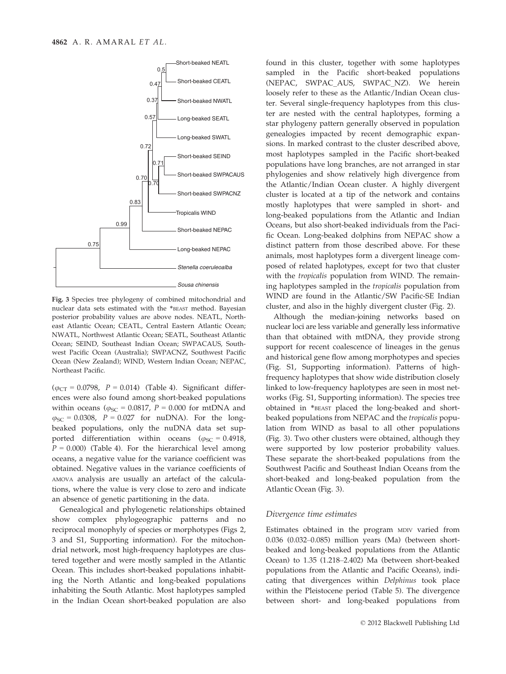

Fig. 3 Species tree phylogeny of combined mitochondrial and nuclear data sets estimated with the \*BEAST method. Bayesian posterior probability values are above nodes. NEATL, Northeast Atlantic Ocean; CEATL, Central Eastern Atlantic Ocean; NWATL, Northwest Atlantic Ocean; SEATL, Southeast Atlantic Ocean; SEIND, Southeast Indian Ocean; SWPACAUS, Southwest Pacific Ocean (Australia); SWPACNZ, Southwest Pacific Ocean (New Zealand); WIND, Western Indian Ocean; NEPAC, Northeast Pacific.

 $(\varphi_{CT} = 0.0798, P = 0.014)$  (Table 4). Significant differences were also found among short-beaked populations within oceans ( $\varphi_{SC}$  = 0.0817, P = 0.000 for mtDNA and  $\varphi_{SC} = 0.0308$ ,  $P = 0.027$  for nuDNA). For the longbeaked populations, only the nuDNA data set supported differentiation within oceans ( $\varphi_{SC} = 0.4918$ ,  $P = 0.000$ ) (Table 4). For the hierarchical level among oceans, a negative value for the variance coefficient was obtained. Negative values in the variance coefficients of AMOVA analysis are usually an artefact of the calculations, where the value is very close to zero and indicate an absence of genetic partitioning in the data.

Genealogical and phylogenetic relationships obtained show complex phylogeographic patterns and no reciprocal monophyly of species or morphotypes (Figs 2, 3 and S1, Supporting information). For the mitochondrial network, most high-frequency haplotypes are clustered together and were mostly sampled in the Atlantic Ocean. This includes short-beaked populations inhabiting the North Atlantic and long-beaked populations inhabiting the South Atlantic. Most haplotypes sampled in the Indian Ocean short-beaked population are also found in this cluster, together with some haplotypes sampled in the Pacific short-beaked populations (NEPAC, SWPAC\_AUS, SWPAC\_NZ). We herein loosely refer to these as the Atlantic/Indian Ocean cluster. Several single-frequency haplotypes from this cluster are nested with the central haplotypes, forming a star phylogeny pattern generally observed in population genealogies impacted by recent demographic expansions. In marked contrast to the cluster described above, most haplotypes sampled in the Pacific short-beaked populations have long branches, are not arranged in star phylogenies and show relatively high divergence from the Atlantic/Indian Ocean cluster. A highly divergent cluster is located at a tip of the network and contains mostly haplotypes that were sampled in short- and long-beaked populations from the Atlantic and Indian Oceans, but also short-beaked individuals from the Pacific Ocean. Long-beaked dolphins from NEPAC show a distinct pattern from those described above. For these animals, most haplotypes form a divergent lineage composed of related haplotypes, except for two that cluster with the tropicalis population from WIND. The remaining haplotypes sampled in the tropicalis population from WIND are found in the Atlantic/SW Pacific-SE Indian cluster, and also in the highly divergent cluster (Fig. 2).

Although the median-joining networks based on nuclear loci are less variable and generally less informative than that obtained with mtDNA, they provide strong support for recent coalescence of lineages in the genus and historical gene flow among morphotypes and species (Fig. S1, Supporting information). Patterns of highfrequency haplotypes that show wide distribution closely linked to low-frequency haplotypes are seen in most networks (Fig. S1, Supporting information). The species tree obtained in \*BEAST placed the long-beaked and shortbeaked populations from NEPAC and the tropicalis population from WIND as basal to all other populations (Fig. 3). Two other clusters were obtained, although they were supported by low posterior probability values. These separate the short-beaked populations from the Southwest Pacific and Southeast Indian Oceans from the short-beaked and long-beaked population from the Atlantic Ocean (Fig. 3).

#### Divergence time estimates

Estimates obtained in the program MDIV varied from 0.036 (0.032–0.085) million years (Ma) (between shortbeaked and long-beaked populations from the Atlantic Ocean) to 1.35 (1.218–2.402) Ma (between short-beaked populations from the Atlantic and Pacific Oceans), indicating that divergences within Delphinus took place within the Pleistocene period (Table 5). The divergence between short- and long-beaked populations from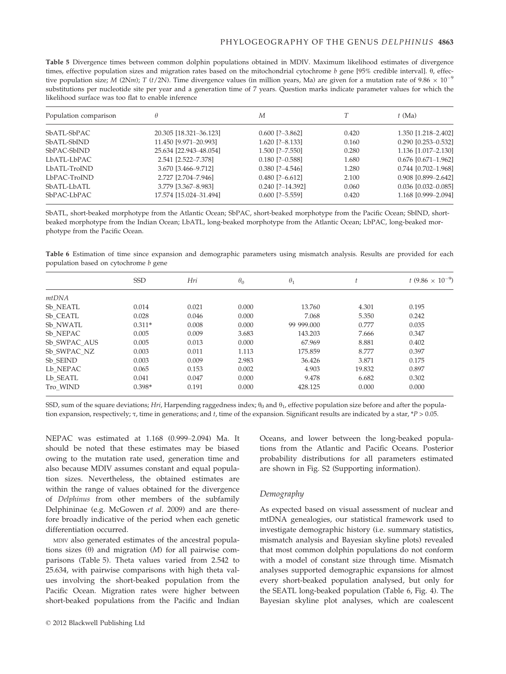Table 5 Divergence times between common dolphin populations obtained in MDIV. Maximum likelihood estimates of divergence times, effective population sizes and migration rates based on the mitochondrial cytochrome b gene [95% credible interval]. θ, effective population size; M (2Nm); T (t/2N). Time divergence values (in million years, Ma) are given for a mutation rate of 9.86  $\times$  10<sup>-9</sup> substitutions per nucleotide site per year and a generation time of 7 years. Question marks indicate parameter values for which the likelihood surface was too flat to enable inference

| Population comparison | $\theta$               | М                  |       | $t$ (Ma)                  |
|-----------------------|------------------------|--------------------|-------|---------------------------|
| SbATL-SbPAC           | 20.305 [18.321-36.123] | $0.600$ [?-3.862]  | 0.420 | 1.350 [1.218-2.402]       |
| SbATL-SbIND           | 11.450 [9.971-20.993]  | $1.620$ [?-8.133]  | 0.160 | $0.290$ $[0.253 - 0.532]$ |
| SbPAC-SbIND           | 25.634 [22.943-48.054] | $1.500$ [?-7.550]  | 0.280 | 1.136 [1.017-2.130]       |
| LbATL-LbPAC           | 2.541 [2.522-7.378]    | $0.180$ [?-0.588]  | 1.680 | $0.676$ [0.671-1.962]     |
| LbATL-TroIND          | 3.670 [3.466-9.712]    | $0.380$ [?-4.546]  | 1.280 | $0.744$ [0.702-1.968]     |
| LbPAC-TroIND          | 2.727 [2.704-7.946]    | $0.480$ [?-6.612]  | 2.100 | $0.908$ [0.899-2.642]     |
| SbATL-LbATL           | 3.779 [3.367-8.983]    | $0.240$ [?-14.392] | 0.060 | $0.036$ [0.032-0.085]     |
| SbPAC-LbPAC           | 17.574 [15.024-31.494] | $0.600$ [?-5.559]  | 0.420 | 1.168 [0.999-2.094]       |

SbATL, short-beaked morphotype from the Atlantic Ocean; SbPAC, short-beaked morphotype from the Pacific Ocean; SbIND, shortbeaked morphotype from the Indian Ocean; LbATL, long-beaked morphotype from the Atlantic Ocean; LbPAC, long-beaked morphotype from the Pacific Ocean.

Table 6 Estimation of time since expansion and demographic parameters using mismatch analysis. Results are provided for each population based on cytochrome b gene

|              | <b>SSD</b> | Hri   | $\theta_0$ | $\theta_1$ |        | $t(9.86 \times 10^{-9})$ |
|--------------|------------|-------|------------|------------|--------|--------------------------|
| mtDNA        |            |       |            |            |        |                          |
| Sb NEATL     | 0.014      | 0.021 | 0.000      | 13.760     | 4.301  | 0.195                    |
| Sb CEATL     | 0.028      | 0.046 | 0.000      | 7.068      | 5.350  | 0.242                    |
| Sb NWATL     | $0.311*$   | 0.008 | 0.000      | 99 999,000 | 0.777  | 0.035                    |
| Sb NEPAC     | 0.005      | 0.009 | 3.683      | 143.203    | 7.666  | 0.347                    |
| Sb SWPAC AUS | 0.005      | 0.013 | 0.000      | 67.969     | 8.881  | 0.402                    |
| Sb SWPAC NZ  | 0.003      | 0.011 | 1.113      | 175.859    | 8.777  | 0.397                    |
| Sb SEIND     | 0.003      | 0.009 | 2.983      | 36.426     | 3.871  | 0.175                    |
| Lb NEPAC     | 0.065      | 0.153 | 0.002      | 4.903      | 19.832 | 0.897                    |
| Lb SEATL     | 0.041      | 0.047 | 0.000      | 9.478      | 6.682  | 0.302                    |
| Tro WIND     | $0.398*$   | 0.191 | 0.000      | 428.125    | 0.000  | 0.000                    |

SSD, sum of the square deviations; Hri, Harpending raggedness index;  $\theta_0$  and  $\theta_1$ , effective population size before and after the population expansion, respectively; τ, time in generations; and t, time of the expansion. Significant results are indicated by a star, \*P > 0.05.

NEPAC was estimated at 1.168 (0.999–2.094) Ma. It should be noted that these estimates may be biased owing to the mutation rate used, generation time and also because MDIV assumes constant and equal population sizes. Nevertheless, the obtained estimates are within the range of values obtained for the divergence of Delphinus from other members of the subfamily Delphininae (e.g. McGowen et al. 2009) and are therefore broadly indicative of the period when each genetic differentiation occurred.

MDIV also generated estimates of the ancestral populations sizes  $(\theta)$  and migration  $(M)$  for all pairwise comparisons (Table 5). Theta values varied from 2.542 to 25.634, with pairwise comparisons with high theta values involving the short-beaked population from the Pacific Ocean. Migration rates were higher between short-beaked populations from the Pacific and Indian Oceans, and lower between the long-beaked populations from the Atlantic and Pacific Oceans. Posterior probability distributions for all parameters estimated are shown in Fig. S2 (Supporting information).

## Demography

As expected based on visual assessment of nuclear and mtDNA genealogies, our statistical framework used to investigate demographic history (i.e. summary statistics, mismatch analysis and Bayesian skyline plots) revealed that most common dolphin populations do not conform with a model of constant size through time. Mismatch analyses supported demographic expansions for almost every short-beaked population analysed, but only for the SEATL long-beaked population (Table 6, Fig. 4). The Bayesian skyline plot analyses, which are coalescent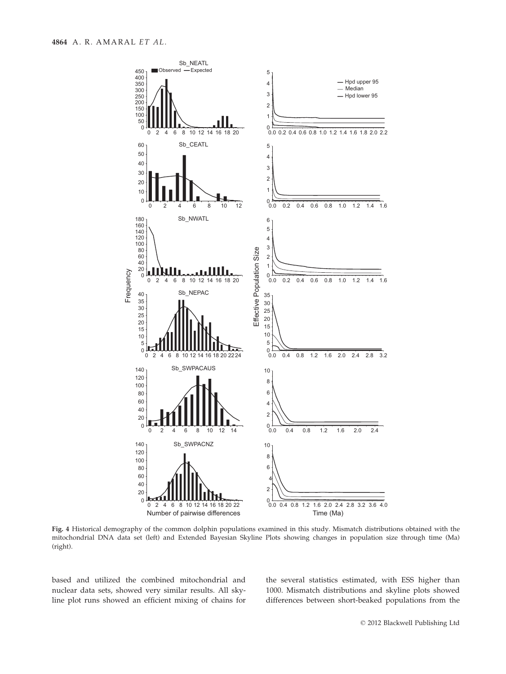

Fig. 4 Historical demography of the common dolphin populations examined in this study. Mismatch distributions obtained with the mitochondrial DNA data set (left) and Extended Bayesian Skyline Plots showing changes in population size through time (Ma) (right).

based and utilized the combined mitochondrial and nuclear data sets, showed very similar results. All skyline plot runs showed an efficient mixing of chains for the several statistics estimated, with ESS higher than 1000. Mismatch distributions and skyline plots showed differences between short-beaked populations from the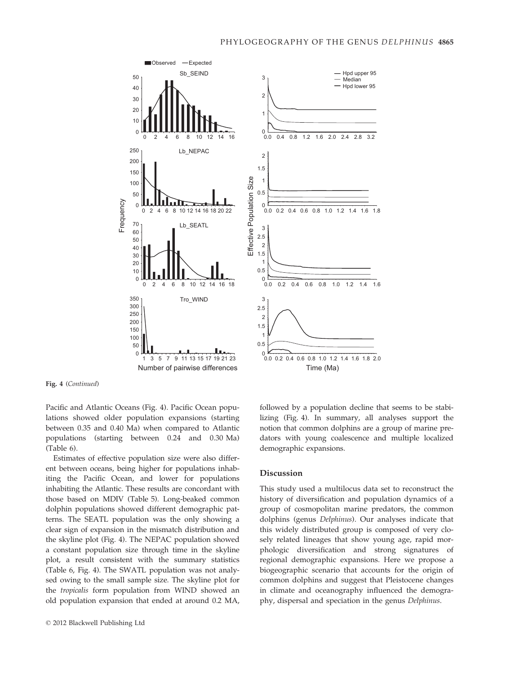

Fig. 4 (Continued)

Pacific and Atlantic Oceans (Fig. 4). Pacific Ocean populations showed older population expansions (starting between 0.35 and 0.40 Ma) when compared to Atlantic populations (starting between 0.24 and 0.30 Ma) (Table 6).

Estimates of effective population size were also different between oceans, being higher for populations inhabiting the Pacific Ocean, and lower for populations inhabiting the Atlantic. These results are concordant with those based on MDIV (Table 5). Long-beaked common dolphin populations showed different demographic patterns. The SEATL population was the only showing a clear sign of expansion in the mismatch distribution and the skyline plot (Fig. 4). The NEPAC population showed a constant population size through time in the skyline plot, a result consistent with the summary statistics (Table 6, Fig. 4). The SWATL population was not analysed owing to the small sample size. The skyline plot for the tropicalis form population from WIND showed an old population expansion that ended at around 0.2 MA,

followed by a population decline that seems to be stabilizing (Fig. 4). In summary, all analyses support the notion that common dolphins are a group of marine predators with young coalescence and multiple localized demographic expansions.

#### Discussion

This study used a multilocus data set to reconstruct the history of diversification and population dynamics of a group of cosmopolitan marine predators, the common dolphins (genus Delphinus). Our analyses indicate that this widely distributed group is composed of very closely related lineages that show young age, rapid morphologic diversification and strong signatures of regional demographic expansions. Here we propose a biogeographic scenario that accounts for the origin of common dolphins and suggest that Pleistocene changes in climate and oceanography influenced the demography, dispersal and speciation in the genus Delphinus.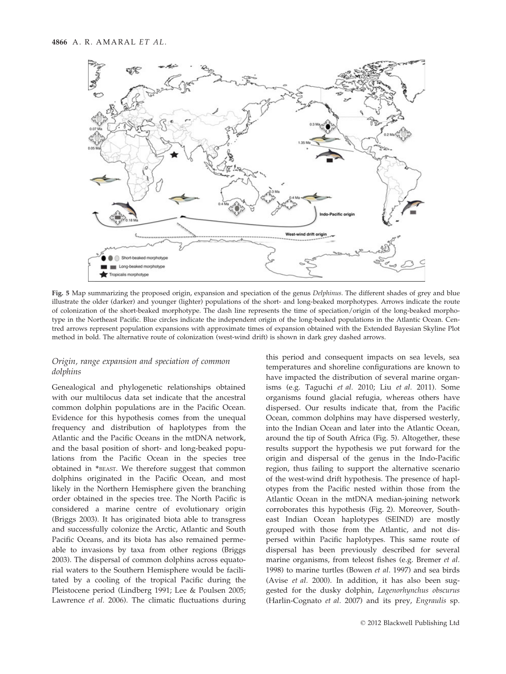

Fig. 5 Map summarizing the proposed origin, expansion and speciation of the genus Delphinus. The different shades of grey and blue illustrate the older (darker) and younger (lighter) populations of the short- and long-beaked morphotypes. Arrows indicate the route of colonization of the short-beaked morphotype. The dash line represents the time of speciation/origin of the long-beaked morphotype in the Northeast Pacific. Blue circles indicate the independent origin of the long-beaked populations in the Atlantic Ocean. Centred arrows represent population expansions with approximate times of expansion obtained with the Extended Bayesian Skyline Plot method in bold. The alternative route of colonization (west-wind drift) is shown in dark grey dashed arrows.

# Origin, range expansion and speciation of common dolphins

Genealogical and phylogenetic relationships obtained with our multilocus data set indicate that the ancestral common dolphin populations are in the Pacific Ocean. Evidence for this hypothesis comes from the unequal frequency and distribution of haplotypes from the Atlantic and the Pacific Oceans in the mtDNA network, and the basal position of short- and long-beaked populations from the Pacific Ocean in the species tree obtained in \*BEAST. We therefore suggest that common dolphins originated in the Pacific Ocean, and most likely in the Northern Hemisphere given the branching order obtained in the species tree. The North Pacific is considered a marine centre of evolutionary origin (Briggs 2003). It has originated biota able to transgress and successfully colonize the Arctic, Atlantic and South Pacific Oceans, and its biota has also remained permeable to invasions by taxa from other regions (Briggs 2003). The dispersal of common dolphins across equatorial waters to the Southern Hemisphere would be facilitated by a cooling of the tropical Pacific during the Pleistocene period (Lindberg 1991; Lee & Poulsen 2005; Lawrence et al. 2006). The climatic fluctuations during

this period and consequent impacts on sea levels, sea temperatures and shoreline configurations are known to have impacted the distribution of several marine organisms (e.g. Taguchi et al. 2010; Liu et al. 2011). Some organisms found glacial refugia, whereas others have dispersed. Our results indicate that, from the Pacific Ocean, common dolphins may have dispersed westerly, into the Indian Ocean and later into the Atlantic Ocean, around the tip of South Africa (Fig. 5). Altogether, these results support the hypothesis we put forward for the origin and dispersal of the genus in the Indo-Pacific region, thus failing to support the alternative scenario of the west-wind drift hypothesis. The presence of haplotypes from the Pacific nested within those from the Atlantic Ocean in the mtDNA median-joining network corroborates this hypothesis (Fig. 2). Moreover, Southeast Indian Ocean haplotypes (SEIND) are mostly grouped with those from the Atlantic, and not dispersed within Pacific haplotypes. This same route of dispersal has been previously described for several marine organisms, from teleost fishes (e.g. Bremer et al. 1998) to marine turtles (Bowen et al. 1997) and sea birds (Avise et al. 2000). In addition, it has also been suggested for the dusky dolphin, Lagenorhynchus obscurus (Harlin-Cognato et al. 2007) and its prey, Engraulis sp.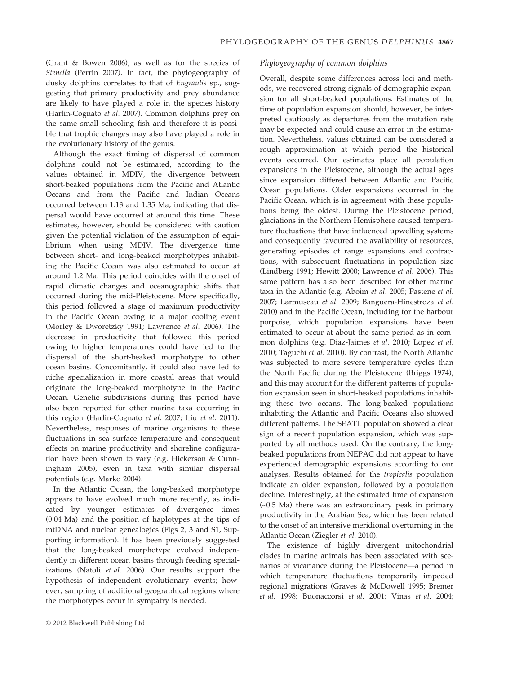(Grant & Bowen 2006), as well as for the species of Stenella (Perrin 2007). In fact, the phylogeography of dusky dolphins correlates to that of Engraulis sp., suggesting that primary productivity and prey abundance are likely to have played a role in the species history (Harlin-Cognato et al. 2007). Common dolphins prey on the same small schooling fish and therefore it is possible that trophic changes may also have played a role in the evolutionary history of the genus.

Although the exact timing of dispersal of common dolphins could not be estimated, according to the values obtained in MDIV, the divergence between short-beaked populations from the Pacific and Atlantic Oceans and from the Pacific and Indian Oceans occurred between 1.13 and 1.35 Ma, indicating that dispersal would have occurred at around this time. These estimates, however, should be considered with caution given the potential violation of the assumption of equilibrium when using MDIV. The divergence time between short- and long-beaked morphotypes inhabiting the Pacific Ocean was also estimated to occur at around 1.2 Ma. This period coincides with the onset of rapid climatic changes and oceanographic shifts that occurred during the mid-Pleistocene. More specifically, this period followed a stage of maximum productivity in the Pacific Ocean owing to a major cooling event (Morley & Dworetzky 1991; Lawrence et al. 2006). The decrease in productivity that followed this period owing to higher temperatures could have led to the dispersal of the short-beaked morphotype to other ocean basins. Concomitantly, it could also have led to niche specialization in more coastal areas that would originate the long-beaked morphotype in the Pacific Ocean. Genetic subdivisions during this period have also been reported for other marine taxa occurring in this region (Harlin-Cognato et al. 2007; Liu et al. 2011). Nevertheless, responses of marine organisms to these fluctuations in sea surface temperature and consequent effects on marine productivity and shoreline configuration have been shown to vary (e.g. Hickerson & Cunningham 2005), even in taxa with similar dispersal potentials (e.g. Marko 2004).

In the Atlantic Ocean, the long-beaked morphotype appears to have evolved much more recently, as indicated by younger estimates of divergence times (0.04 Ma) and the position of haplotypes at the tips of mtDNA and nuclear genealogies (Figs 2, 3 and S1, Supporting information). It has been previously suggested that the long-beaked morphotype evolved independently in different ocean basins through feeding specializations (Natoli et al. 2006). Our results support the hypothesis of independent evolutionary events; however, sampling of additional geographical regions where the morphotypes occur in sympatry is needed.

#### Phylogeography of common dolphins

Overall, despite some differences across loci and methods, we recovered strong signals of demographic expansion for all short-beaked populations. Estimates of the time of population expansion should, however, be interpreted cautiously as departures from the mutation rate may be expected and could cause an error in the estimation. Nevertheless, values obtained can be considered a rough approximation at which period the historical events occurred. Our estimates place all population expansions in the Pleistocene, although the actual ages since expansion differed between Atlantic and Pacific Ocean populations. Older expansions occurred in the Pacific Ocean, which is in agreement with these populations being the oldest. During the Pleistocene period, glaciations in the Northern Hemisphere caused temperature fluctuations that have influenced upwelling systems and consequently favoured the availability of resources, generating episodes of range expansions and contractions, with subsequent fluctuations in population size (Lindberg 1991; Hewitt 2000; Lawrence et al. 2006). This same pattern has also been described for other marine taxa in the Atlantic (e.g. Aboim et al. 2005; Pastene et al. 2007; Larmuseau et al. 2009; Banguera-Hinestroza et al. 2010) and in the Pacific Ocean, including for the harbour porpoise, which population expansions have been estimated to occur at about the same period as in common dolphins (e.g. Diaz-Jaimes et al. 2010; Lopez et al. 2010; Taguchi et al. 2010). By contrast, the North Atlantic was subjected to more severe temperature cycles than the North Pacific during the Pleistocene (Briggs 1974), and this may account for the different patterns of population expansion seen in short-beaked populations inhabiting these two oceans. The long-beaked populations inhabiting the Atlantic and Pacific Oceans also showed different patterns. The SEATL population showed a clear sign of a recent population expansion, which was supported by all methods used. On the contrary, the longbeaked populations from NEPAC did not appear to have experienced demographic expansions according to our analyses. Results obtained for the tropicalis population indicate an older expansion, followed by a population decline. Interestingly, at the estimated time of expansion (~0.5 Ma) there was an extraordinary peak in primary productivity in the Arabian Sea, which has been related to the onset of an intensive meridional overturning in the Atlantic Ocean (Ziegler et al. 2010).

The existence of highly divergent mitochondrial clades in marine animals has been associated with scenarios of vicariance during the Pleistocene—a period in which temperature fluctuations temporarily impeded regional migrations (Graves & McDowell 1995; Bremer et al. 1998; Buonaccorsi et al. 2001; Vinas et al. 2004;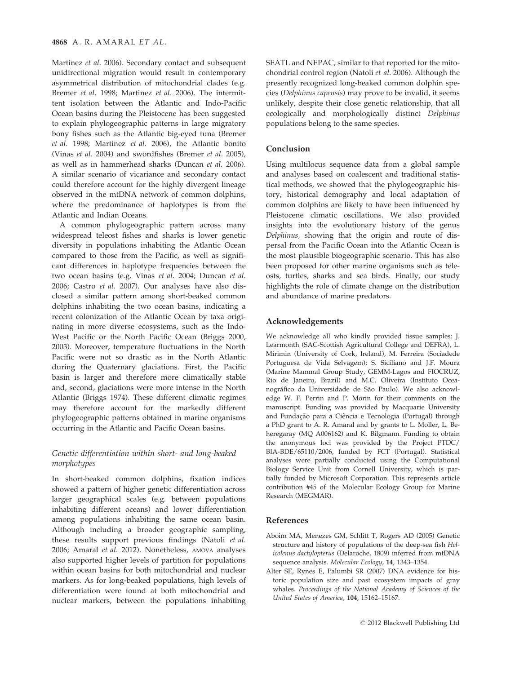Martinez et al. 2006). Secondary contact and subsequent unidirectional migration would result in contemporary asymmetrical distribution of mitochondrial clades (e.g. Bremer et al. 1998; Martinez et al. 2006). The intermittent isolation between the Atlantic and Indo-Pacific Ocean basins during the Pleistocene has been suggested to explain phylogeographic patterns in large migratory bony fishes such as the Atlantic big-eyed tuna (Bremer et al. 1998; Martinez et al. 2006), the Atlantic bonito (Vinas et al. 2004) and swordfishes (Bremer et al. 2005), as well as in hammerhead sharks (Duncan et al. 2006). A similar scenario of vicariance and secondary contact could therefore account for the highly divergent lineage observed in the mtDNA network of common dolphins, where the predominance of haplotypes is from the Atlantic and Indian Oceans.

A common phylogeographic pattern across many widespread teleost fishes and sharks is lower genetic diversity in populations inhabiting the Atlantic Ocean compared to those from the Pacific, as well as significant differences in haplotype frequencies between the two ocean basins (e.g. Vinas et al. 2004; Duncan et al. 2006; Castro et al. 2007). Our analyses have also disclosed a similar pattern among short-beaked common dolphins inhabiting the two ocean basins, indicating a recent colonization of the Atlantic Ocean by taxa originating in more diverse ecosystems, such as the Indo-West Pacific or the North Pacific Ocean (Briggs 2000, 2003). Moreover, temperature fluctuations in the North Pacific were not so drastic as in the North Atlantic during the Quaternary glaciations. First, the Pacific basin is larger and therefore more climatically stable and, second, glaciations were more intense in the North Atlantic (Briggs 1974). These different climatic regimes may therefore account for the markedly different phylogeographic patterns obtained in marine organisms occurring in the Atlantic and Pacific Ocean basins.

# Genetic differentiation within short- and long-beaked morphotypes

In short-beaked common dolphins, fixation indices showed a pattern of higher genetic differentiation across larger geographical scales (e.g. between populations inhabiting different oceans) and lower differentiation among populations inhabiting the same ocean basin. Although including a broader geographic sampling, these results support previous findings (Natoli et al. 2006; Amaral et al. 2012). Nonetheless, AMOVA analyses also supported higher levels of partition for populations within ocean basins for both mitochondrial and nuclear markers. As for long-beaked populations, high levels of differentiation were found at both mitochondrial and nuclear markers, between the populations inhabiting

SEATL and NEPAC, similar to that reported for the mitochondrial control region (Natoli et al. 2006). Although the presently recognized long-beaked common dolphin species (Delphinus capensis) may prove to be invalid, it seems unlikely, despite their close genetic relationship, that all ecologically and morphologically distinct Delphinus populations belong to the same species.

## Conclusion

Using multilocus sequence data from a global sample and analyses based on coalescent and traditional statistical methods, we showed that the phylogeographic history, historical demography and local adaptation of common dolphins are likely to have been influenced by Pleistocene climatic oscillations. We also provided insights into the evolutionary history of the genus Delphinus, showing that the origin and route of dispersal from the Pacific Ocean into the Atlantic Ocean is the most plausible biogeographic scenario. This has also been proposed for other marine organisms such as teleosts, turtles, sharks and sea birds. Finally, our study highlights the role of climate change on the distribution and abundance of marine predators.

#### Acknowledgements

We acknowledge all who kindly provided tissue samples: J. Learmonth (SAC-Scottish Agricultural College and DEFRA), L. Mirimin (University of Cork, Ireland), M. Ferreira (Sociadede Portuguesa de Vida Selvagem); S. Siciliano and J.F. Moura (Marine Mammal Group Study, GEMM-Lagos and FIOCRUZ, Rio de Janeiro, Brazil) and M.C. Oliveira (Instituto Oceanográfico da Universidade de São Paulo). We also acknowledge W. F. Perrin and P. Morin for their comments on the manuscript. Funding was provided by Macquarie University and Fundação para a Ciência e Tecnologia (Portugal) through a PhD grant to A. R. Amaral and by grants to L. Möller, L. Beheregaray (MQ A006162) and K. Bilgmann. Funding to obtain the anonymous loci was provided by the Project PTDC/ BIA-BDE/65110/2006, funded by FCT (Portugal). Statistical analyses were partially conducted using the Computational Biology Service Unit from Cornell University, which is partially funded by Microsoft Corporation. This represents article contribution #45 of the Molecular Ecology Group for Marine Research (MEGMAR).

#### References

- Aboim MA, Menezes GM, Schlitt T, Rogers AD (2005) Genetic structure and history of populations of the deep-sea fish Helicolenus dactylopterus (Delaroche, 1809) inferred from mtDNA sequence analysis. Molecular Ecology, 14, 1343-1354.
- Alter SE, Rynes E, Palumbi SR (2007) DNA evidence for historic population size and past ecosystem impacts of gray whales. Proceedings of the National Academy of Sciences of the United States of America, 104, 15162–15167.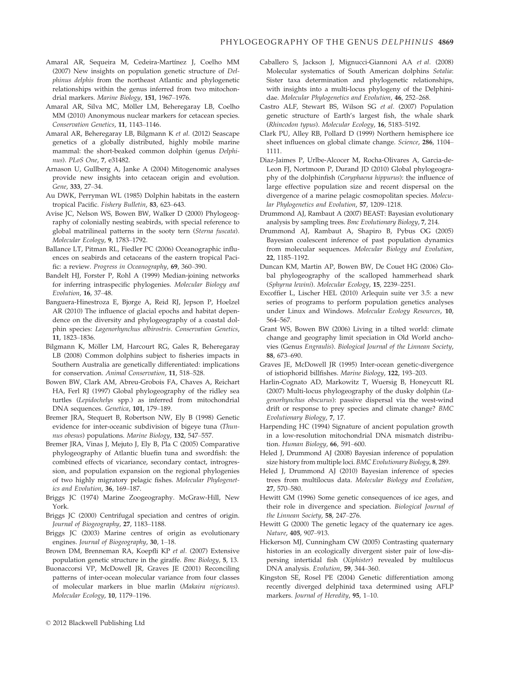- Amaral AR, Sequeira M, Cedeira-Martínez J, Coelho MM (2007) New insights on population genetic structure of Delphinus delphis from the northeast Atlantic and phylogenetic relationships within the genus inferred from two mitochondrial markers. Marine Biology, 151, 1967–1976.
- Amaral AR, Silva MC, Möller LM, Beheregaray LB, Coelho MM (2010) Anonymous nuclear markers for cetacean species. Conservation Genetics, 11, 1143–1146.
- Amaral AR, Beheregaray LB, Bilgmann K et al. (2012) Seascape genetics of a globally distributed, highly mobile marine mammal: the short-beaked common dolphin (genus Delphinus). PLoS One, 7, e31482.
- Arnason U, Gullberg A, Janke A (2004) Mitogenomic analyses provide new insights into cetacean origin and evolution. Gene, 333, 27–34.
- Au DWK, Perryman WL (1985) Dolphin habitats in the eastern tropical Pacific. Fishery Bulletin, 83, 623–643.
- Avise JC, Nelson WS, Bowen BW, Walker D (2000) Phylogeography of colonially nesting seabirds, with special reference to global matrilineal patterns in the sooty tern (Sterna fuscata). Molecular Ecology, 9, 1783–1792.
- Ballance LT, Pitman RL, Fiedler PC (2006) Oceanographic influences on seabirds and cetaceans of the eastern tropical Pacific: a review. Progress in Oceanography, 69, 360–390.
- Bandelt HJ, Forster P, Rohl A (1999) Median-joining networks for inferring intraspecific phylogenies. Molecular Biology and Evolution, 16, 37–48.
- Banguera-Hinestroza E, Bjorge A, Reid RJ, Jepson P, Hoelzel AR (2010) The influence of glacial epochs and habitat dependence on the diversity and phylogeography of a coastal dolphin species: Lagenorhynchus albirostris. Conservation Genetics, 11, 1823–1836.
- Bilgmann K, Möller LM, Harcourt RG, Gales R, Beheregaray LB (2008) Common dolphins subject to fisheries impacts in Southern Australia are genetically differentiated: implications for conservation. Animal Conservation, 11, 518–528.
- Bowen BW, Clark AM, Abreu-Grobois FA, Chaves A, Reichart HA, Ferl RJ (1997) Global phylogeography of the ridley sea turtles (Lepidochelys spp.) as inferred from mitochondrial DNA sequences. Genetica, 101, 179–189.
- Bremer JRA, Stequert B, Robertson NW, Ely B (1998) Genetic evidence for inter-oceanic subdivision of bigeye tuna (Thunnus obesus) populations. Marine Biology, 132, 547–557.
- Bremer JRA, Vinas J, Mejuto J, Ely B, Pla C (2005) Comparative phylogeography of Atlantic bluefin tuna and swordfish: the combined effects of vicariance, secondary contact, introgression, and population expansion on the regional phylogenies of two highly migratory pelagic fishes. Molecular Phylogenetics and Evolution, 36, 169–187.
- Briggs JC (1974) Marine Zoogeography. McGraw-Hill, New York.
- Briggs JC (2000) Centrifugal speciation and centres of origin. Journal of Biogeography, 27, 1183–1188.
- Briggs JC (2003) Marine centres of origin as evolutionary engines. Journal of Biogeography, 30, 1–18.
- Brown DM, Brenneman RA, Koepfli KP et al. (2007) Extensive population genetic structure in the giraffe. Bmc Biology, 5, 13.
- Buonaccorsi VP, McDowell JR, Graves JE (2001) Reconciling patterns of inter-ocean molecular variance from four classes of molecular markers in blue marlin (Makaira nigricans). Molecular Ecology, 10, 1179–1196.
- Caballero S, Jackson J, Mignucci-Giannoni AA et al. (2008) Molecular systematics of South American dolphins Sotalia: Sister taxa determination and phylogenetic relationships, with insights into a multi-locus phylogeny of the Delphinidae. Molecular Phylogenetics and Evolution, 46, 252–268.
- Castro ALF, Stewart BS, Wilson SG et al. (2007) Population genetic structure of Earth's largest fish, the whale shark (Rhincodon typus). Molecular Ecology, 16, 5183–5192.
- Clark PU, Alley RB, Pollard D (1999) Northern hemisphere ice sheet influences on global climate change. Science, 286, 1104– 1111.
- Diaz-Jaimes P, Urlbe-Alcocer M, Rocha-Olivares A, Garcia-de-Leon FJ, Nortmoon P, Durand JD (2010) Global phylogeography of the dolphinfish (Coryphaena hippurus): the influence of large effective population size and recent dispersal on the divergence of a marine pelagic cosmopolitan species. Molecular Phylogenetics and Evolution, 57, 1209–1218.
- Drummond AJ, Rambaut A (2007) BEAST: Bayesian evolutionary analysis by sampling trees. Bmc Evolutionary Biology, 7, 214.
- Drummond AJ, Rambaut A, Shapiro B, Pybus OG (2005) Bayesian coalescent inference of past population dynamics from molecular sequences. Molecular Biology and Evolution, 22, 1185–1192.
- Duncan KM, Martin AP, Bowen BW, De Couet HG (2006) Global phylogeography of the scalloped hammerhead shark (Sphyrna lewini). Molecular Ecology, 15, 2239–2251.
- Excoffier L, Lischer HEL (2010) Arlequin suite ver 3.5: a new series of programs to perform population genetics analyses under Linux and Windows. Molecular Ecology Resources, 10, 564–567.
- Grant WS, Bowen BW (2006) Living in a tilted world: climate change and geography limit speciation in Old World anchovies (Genus Engraulis). Biological Journal of the Linnean Society, 88, 673–690.
- Graves JE, McDowell JR (1995) Inter-ocean genetic-divergence of istiophorid billfishes. Marine Biology, 122, 193–203.
- Harlin-Cognato AD, Markowitz T, Wuersig B, Honeycutt RL (2007) Multi-locus phylogeography of the dusky dolphin (Lagenorhynchus obscurus): passive dispersal via the west-wind drift or response to prey species and climate change? BMC Evolutionary Biology, 7, 17.
- Harpending HC (1994) Signature of ancient population growth in a low-resolution mitochondrial DNA mismatch distribution. Human Biology, 66, 591-600.
- Heled J, Drummond AJ (2008) Bayesian inference of population size history from multiple loci. BMC Evolutionary Biology, 8, 289.
- Heled J, Drummond AJ (2010) Bayesian inference of species trees from multilocus data. Molecular Biology and Evolution, 27, 570–580.
- Hewitt GM (1996) Some genetic consequences of ice ages, and their role in divergence and speciation. Biological Journal of the Linnean Society, 58, 247–276.
- Hewitt G (2000) The genetic legacy of the quaternary ice ages. Nature, 405, 907–913.
- Hickerson MJ, Cunningham CW (2005) Contrasting quaternary histories in an ecologically divergent sister pair of low-dispersing intertidal fish (Xiphister) revealed by multilocus DNA analysis. Evolution, 59, 344–360.
- Kingston SE, Rosel PE (2004) Genetic differentiation among recently diverged delphinid taxa determined using AFLP markers. Journal of Heredity, 95, 1–10.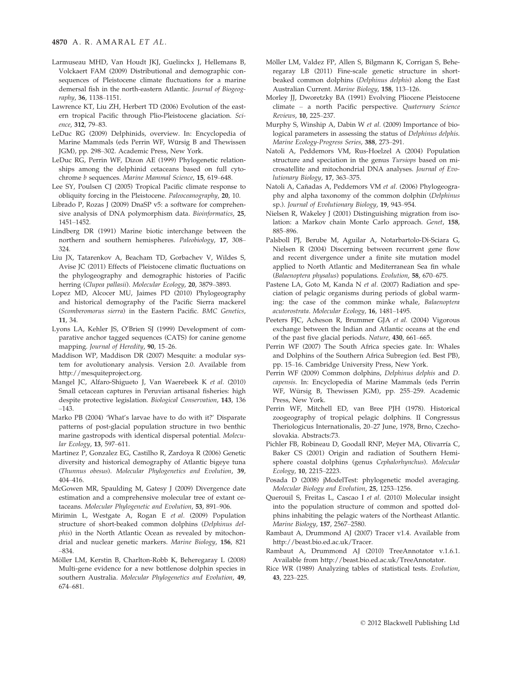- Larmuseau MHD, Van Houdt JKJ, Guelinckx J, Hellemans B, Volckaert FAM (2009) Distributional and demographic consequences of Pleistocene climate fluctuations for a marine demersal fish in the north-eastern Atlantic. Journal of Biogeography, 36, 1138–1151.
- Lawrence KT, Liu ZH, Herbert TD (2006) Evolution of the eastern tropical Pacific through Plio-Pleistocene glaciation. Science, 312, 79–83.
- LeDuc RG (2009) Delphinids, overview. In: Encyclopedia of Marine Mammals (eds Perrin WF, Würsig B and Thewissen JGM), pp. 298–302. Academic Press, New York.
- LeDuc RG, Perrin WF, Dizon AE (1999) Phylogenetic relationships among the delphinid cetaceans based on full cytochrome b sequences. Marine Mammal Science, 15, 619–648.
- Lee SY, Poulsen CJ (2005) Tropical Pacific climate response to obliquity forcing in the Pleistocene. Paleoceanography, 20, 10.
- Librado P, Rozas J (2009) DnaSP v5: a software for comprehensive analysis of DNA polymorphism data. Bioinformatics, 25, 1451–1452.
- Lindberg DR (1991) Marine biotic interchange between the northern and southern hemispheres. Paleobiology, 17, 308– 324.
- Liu JX, Tatarenkov A, Beacham TD, Gorbachev V, Wildes S, Avise JC (2011) Effects of Pleistocene climatic fluctuations on the phylogeography and demographic histories of Pacific herring (Clupea pallasii). Molecular Ecology, 20, 3879–3893.
- Lopez MD, Alcocer MU, Jaimes PD (2010) Phylogeography and historical demography of the Pacific Sierra mackerel (Scomberomorus sierra) in the Eastern Pacific. BMC Genetics, 11, 34.
- Lyons LA, Kehler JS, O'Brien SJ (1999) Development of comparative anchor tagged sequences (CATS) for canine genome mapping. Journal of Heredity, 90, 15-26.
- Maddison WP, Maddison DR (2007) Mesquite: a modular system for avolutionary analysis. Version 2.0. Available from http://mesquiteproject.org.
- Mangel JC, Alfaro-Shigueto J, Van Waerebeek K et al. (2010) Small cetacean captures in Peruvian artisanal fisheries: high despite protective legislation. Biological Conservation, 143, 136 –143.
- Marko PB (2004) 'What's larvae have to do with it?' Disparate patterns of post-glacial population structure in two benthic marine gastropods with identical dispersal potential. Molecular Ecology, 13, 597–611.
- Martinez P, Gonzalez EG, Castilho R, Zardoya R (2006) Genetic diversity and historical demography of Atlantic bigeye tuna (Thunnus obesus). Molecular Phylogenetics and Evolution, 39, 404–416.
- McGowen MR, Spaulding M, Gatesy J (2009) Divergence date estimation and a comprehensive molecular tree of extant cetaceans. Molecular Phylogenetic and Evolution, 53, 891–906.
- Mirimin L, Westgate A, Rogan E et al. (2009) Population structure of short-beaked common dolphins (Delphinus delphis) in the North Atlantic Ocean as revealed by mitochondrial and nuclear genetic markers. Marine Biology, 156, 821 –834.
- Möller LM, Kerstin B, Charlton-Robb K, Beheregaray L (2008) Multi-gene evidence for a new bottlenose dolphin species in southern Australia. Molecular Phylogenetics and Evolution, 49, 674–681.
- Möller LM, Valdez FP, Allen S, Bilgmann K, Corrigan S, Beheregaray LB (2011) Fine-scale genetic structure in shortbeaked common dolphins (Delphinus delphis) along the East Australian Current. Marine Biology, 158, 113–126.
- Morley JJ, Dworetzky BA (1991) Evolving Pliocene Pleistocene climate – a north Pacific perspective. Quaternary Science Reviews, 10, 225–237.
- Murphy S, Winship A, Dabin W et al. (2009) Importance of biological parameters in assessing the status of Delphinus delphis. Marine Ecology-Progress Series, 388, 273–291.
- Natoli A, Peddemors VM, Rus-Hoelzel A (2004) Population structure and speciation in the genus Tursiops based on microsatellite and mitochondrial DNA analyses. Journal of Evolutionary Biology, 17, 363–375.
- Natoli A, Cañadas A, Peddemors VM et al. (2006) Phylogeography and alpha taxonomy of the common dolphin (Delphinus sp.). Journal of Evolutionary Biology, 19, 943–954.
- Nielsen R, Wakeley J (2001) Distinguishing migration from isolation: a Markov chain Monte Carlo approach. Genet, 158, 885–896.
- Palsboll PJ, Berube M, Aguilar A, Notarbartolo-Di-Sciara G, Nielsen R (2004) Discerning between recurrent gene flow and recent divergence under a finite site mutation model applied to North Atlantic and Mediterranean Sea fin whale (Balaenoptera physalus) populations. Evolution, 58, 670–675.
- Pastene LA, Goto M, Kanda N et al. (2007) Radiation and speciation of pelagic organisms during periods of global warming: the case of the common minke whale, Balaenoptera acutorostrata. Molecular Ecology, 16, 1481–1495.
- Peeters FJC, Acheson R, Brummer GJA et al. (2004) Vigorous exchange between the Indian and Atlantic oceans at the end of the past five glacial periods. Nature, 430, 661–665.
- Perrin WF (2007) The South Africa species gate. In: Whales and Dolphins of the Southern Africa Subregion (ed. Best PB), pp. 15–16. Cambridge University Press, New York.
- Perrin WF (2009) Common dolphins, Delphinus delphis and D. capensis. In: Encyclopedia of Marine Mammals (eds Perrin WF, Würsig B, Thewissen JGM), pp. 255-259. Academic Press, New York.
- Perrin WF, Mitchell ED, van Bree PJH (1978). Historical zoogeography of tropical pelagic dolphins. II Congressus Theriologicus Internationalis, 20–27 June, 1978, Brno, Czechoslovakia. Abstracts:73.
- Pichler FB, Robineau D, Goodall RNP, Meÿer MA, Olivarría C, Baker CS (2001) Origin and radiation of Southern Hemisphere coastal dolphins (genus Cephalorhynchus). Molecular Ecology, 10, 2215–2223.
- Posada D (2008) jModelTest: phylogenetic model averaging. Molecular Biology and Evolution, 25, 1253–1256.
- Querouil S, Freitas L, Cascao I et al. (2010) Molecular insight into the population structure of common and spotted dolphins inhabiting the pelagic waters of the Northeast Atlantic. Marine Biology, 157, 2567–2580.
- Rambaut A, Drummond AJ (2007) Tracer v1.4. Available from http://beast.bio.ed.ac.uk/Tracer.
- Rambaut A, Drummond AJ (2010) TreeAnnotator v.1.6.1. Available from http://beast.bio.ed.ac.uk/TreeAnnotator.
- Rice WR (1989) Analyzing tables of statistical tests. Evolution, 43, 223–225.